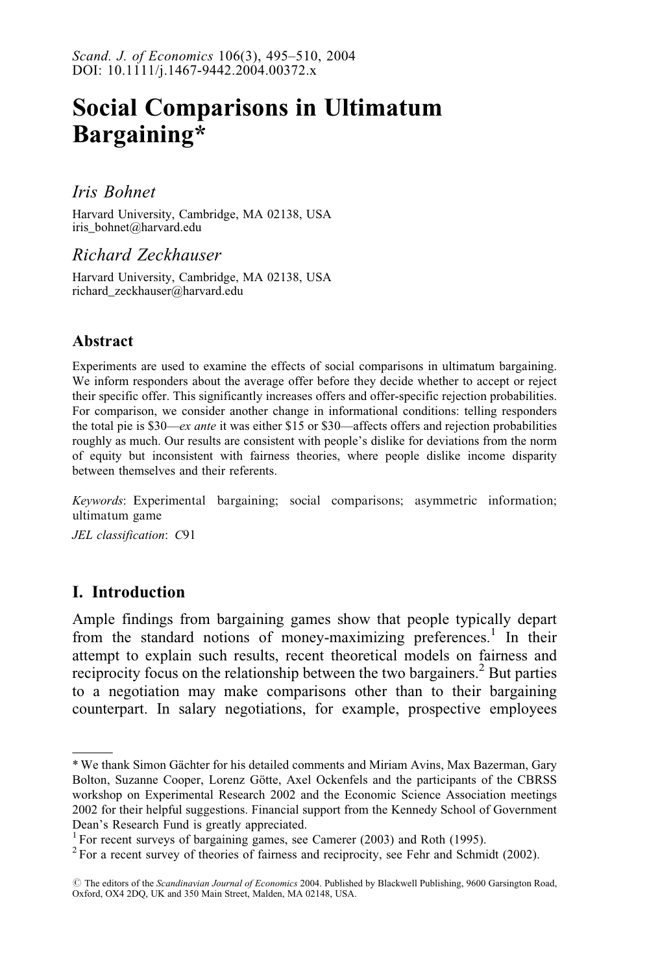Scand. J. of Economics 106(3), 495–510, 2004 DOI: 10.1111/j.1467-9442.2004.00372.x

# Social Comparisons in Ultimatum Bargaining\*

# Iris Bohnet

Harvard University, Cambridge, MA 02138, USA iris\_bohnet@harvard.edu

# Richard Zeckhauser

Harvard University, Cambridge, MA 02138, USA richard\_zeckhauser@harvard.edu

# Abstract

Experiments are used to examine the effects of social comparisons in ultimatum bargaining. We inform responders about the average offer before they decide whether to accept or reject their specific offer. This significantly increases offers and offer-specific rejection probabilities. For comparison, we consider another change in informational conditions: telling responders the total pie is  $$30$ —ex ante it was either \$15 or \$30—affects offers and rejection probabilities roughly as much. Our results are consistent with people's dislike for deviations from the norm of equity but inconsistent with fairness theories, where people dislike income disparity between themselves and their referents.

Keywords: Experimental bargaining; social comparisons; asymmetric information; ultimatum game

JEL classification: C91

# I. Introduction

Ample findings from bargaining games show that people typically depart from the standard notions of money-maximizing preferences.<sup>1</sup> In their attempt to explain such results, recent theoretical models on fairness and reciprocity focus on the relationship between the two bargainers.<sup>2</sup> But parties to a negotiation may make comparisons other than to their bargaining counterpart. In salary negotiations, for example, prospective employees

<sup>\*</sup> We thank Simon Ga¨chter for his detailed comments and Miriam Avins, Max Bazerman, Gary Bolton, Suzanne Cooper, Lorenz Götte, Axel Ockenfels and the participants of the CBRSS workshop on Experimental Research 2002 and the Economic Science Association meetings 2002 for their helpful suggestions. Financial support from the Kennedy School of Government Dean's Research Fund is greatly appreciated.

<sup>&</sup>lt;sup>1</sup> For recent surveys of bargaining games, see Camerer (2003) and Roth (1995).

 $2$  For a recent survey of theories of fairness and reciprocity, see Fehr and Schmidt (2002).

<sup>©</sup> The editors of the *Scandinavian Journal of Economics* 2004. Published by Blackwell Publishing, 9600 Garsington Road, Oxford, OX4 2DQ, UK and 350 Main Street, Malden, MA 02148, USA.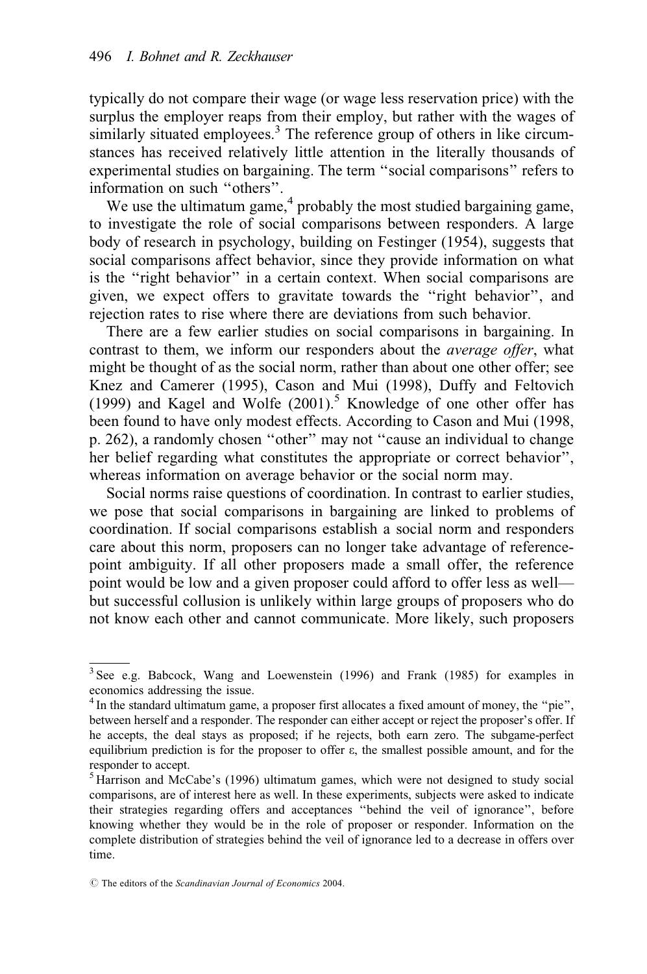typically do not compare their wage (or wage less reservation price) with the surplus the employer reaps from their employ, but rather with the wages of similarly situated employees.<sup>3</sup> The reference group of others in like circumstances has received relatively little attention in the literally thousands of experimental studies on bargaining. The term ''social comparisons'' refers to information on such ''others''.

We use the ultimatum game, $4$  probably the most studied bargaining game, to investigate the role of social comparisons between responders. A large body of research in psychology, building on Festinger (1954), suggests that social comparisons affect behavior, since they provide information on what is the ''right behavior'' in a certain context. When social comparisons are given, we expect offers to gravitate towards the ''right behavior'', and rejection rates to rise where there are deviations from such behavior.

There are a few earlier studies on social comparisons in bargaining. In contrast to them, we inform our responders about the *average offer*, what might be thought of as the social norm, rather than about one other offer; see Knez and Camerer (1995), Cason and Mui (1998), Duffy and Feltovich (1999) and Kagel and Wolfe  $(2001)$ .<sup>5</sup> Knowledge of one other offer has been found to have only modest effects. According to Cason and Mui (1998, p. 262), a randomly chosen ''other'' may not ''cause an individual to change her belief regarding what constitutes the appropriate or correct behavior'', whereas information on average behavior or the social norm may.

Social norms raise questions of coordination. In contrast to earlier studies, we pose that social comparisons in bargaining are linked to problems of coordination. If social comparisons establish a social norm and responders care about this norm, proposers can no longer take advantage of referencepoint ambiguity. If all other proposers made a small offer, the reference point would be low and a given proposer could afford to offer less as well but successful collusion is unlikely within large groups of proposers who do not know each other and cannot communicate. More likely, such proposers

<sup>&</sup>lt;sup>3</sup> See e.g. Babcock, Wang and Loewenstein (1996) and Frank (1985) for examples in economics addressing the issue.

<sup>&</sup>lt;sup>4</sup> In the standard ultimatum game, a proposer first allocates a fixed amount of money, the "pie", between herself and a responder. The responder can either accept or reject the proposer's offer. If he accepts, the deal stays as proposed; if he rejects, both earn zero. The subgame-perfect equilibrium prediction is for the proposer to offer  $\varepsilon$ , the smallest possible amount, and for the responder to accept.

<sup>&</sup>lt;sup>5</sup> Harrison and McCabe's (1996) ultimatum games, which were not designed to study social comparisons, are of interest here as well. In these experiments, subjects were asked to indicate their strategies regarding offers and acceptances ''behind the veil of ignorance'', before knowing whether they would be in the role of proposer or responder. Information on the complete distribution of strategies behind the veil of ignorance led to a decrease in offers over time.

 $\circled{c}$  The editors of the Scandinavian Journal of Economics 2004.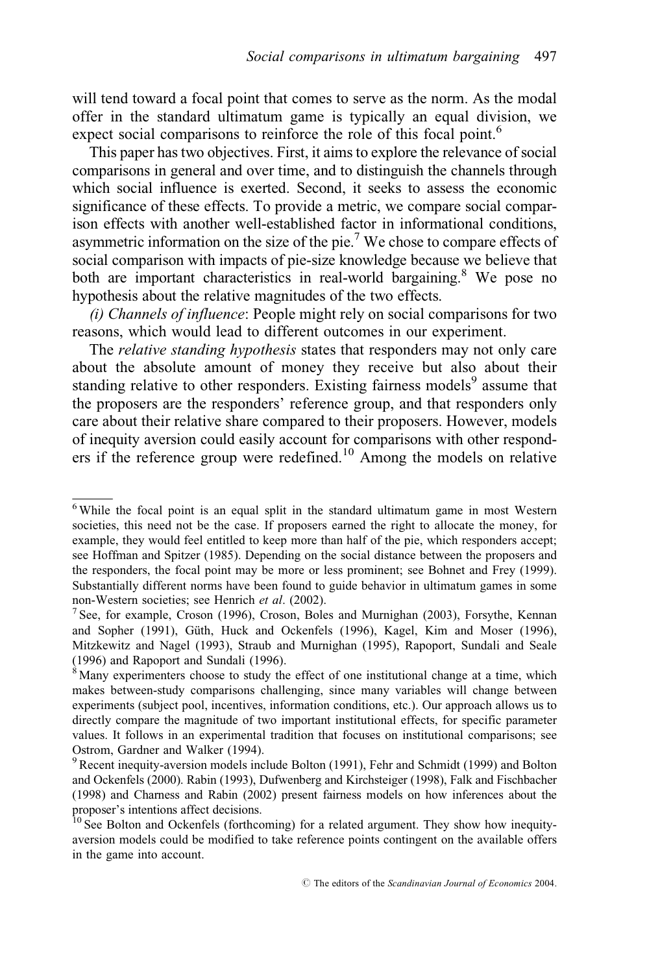will tend toward a focal point that comes to serve as the norm. As the modal offer in the standard ultimatum game is typically an equal division, we expect social comparisons to reinforce the role of this focal point.<sup>6</sup>

This paper has two objectives. First, it aims to explore the relevance of social comparisons in general and over time, and to distinguish the channels through which social influence is exerted. Second, it seeks to assess the economic significance of these effects. To provide a metric, we compare social comparison effects with another well-established factor in informational conditions, asymmetric information on the size of the pie.<sup>7</sup> We chose to compare effects of social comparison with impacts of pie-size knowledge because we believe that both are important characteristics in real-world bargaining.<sup>8</sup> We pose no hypothesis about the relative magnitudes of the two effects.

(i) Channels of influence: People might rely on social comparisons for two reasons, which would lead to different outcomes in our experiment.

The *relative standing hypothesis* states that responders may not only care about the absolute amount of money they receive but also about their standing relative to other responders. Existing fairness models<sup>9</sup> assume that the proposers are the responders' reference group, and that responders only care about their relative share compared to their proposers. However, models of inequity aversion could easily account for comparisons with other responders if the reference group were redefined.10 Among the models on relative

<sup>&</sup>lt;sup>6</sup> While the focal point is an equal split in the standard ultimatum game in most Western societies, this need not be the case. If proposers earned the right to allocate the money, for example, they would feel entitled to keep more than half of the pie, which responders accept; see Hoffman and Spitzer (1985). Depending on the social distance between the proposers and the responders, the focal point may be more or less prominent; see Bohnet and Frey (1999). Substantially different norms have been found to guide behavior in ultimatum games in some non-Western societies; see Henrich *et al.* (2002).<br><sup>7</sup> See, for example, Croson (1996), Croson, Boles and Murnighan (2003), Forsythe, Kennan

and Sopher (1991), Güth, Huck and Ockenfels (1996), Kagel, Kim and Moser (1996), Mitzkewitz and Nagel (1993), Straub and Murnighan (1995), Rapoport, Sundali and Seale (1996) and Rapoport and Sundali (1996).

 $8$  Many experimenters choose to study the effect of one institutional change at a time, which makes between-study comparisons challenging, since many variables will change between experiments (subject pool, incentives, information conditions, etc.). Our approach allows us to directly compare the magnitude of two important institutional effects, for specific parameter values. It follows in an experimental tradition that focuses on institutional comparisons; see Ostrom, Gardner and Walker (1994).

<sup>9</sup>Recent inequity-aversion models include Bolton (1991), Fehr and Schmidt (1999) and Bolton and Ockenfels (2000). Rabin (1993), Dufwenberg and Kirchsteiger (1998), Falk and Fischbacher (1998) and Charness and Rabin (2002) present fairness models on how inferences about the proposer's intentions affect decisions.

<sup>&</sup>lt;sup>10</sup> See Bolton and Ockenfels (forthcoming) for a related argument. They show how inequityaversion models could be modified to take reference points contingent on the available offers in the game into account.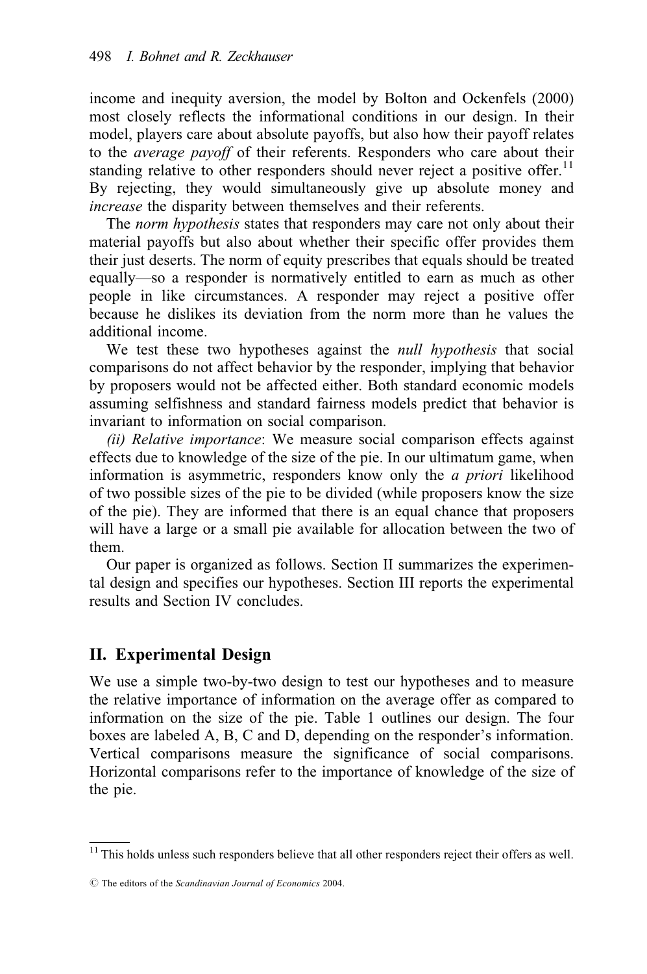income and inequity aversion, the model by Bolton and Ockenfels (2000) most closely reflects the informational conditions in our design. In their model, players care about absolute payoffs, but also how their payoff relates to the average payoff of their referents. Responders who care about their standing relative to other responders should never reject a positive offer.<sup>11</sup> By rejecting, they would simultaneously give up absolute money and increase the disparity between themselves and their referents.

The *norm hypothesis* states that responders may care not only about their material payoffs but also about whether their specific offer provides them their just deserts. The norm of equity prescribes that equals should be treated equally—so a responder is normatively entitled to earn as much as other people in like circumstances. A responder may reject a positive offer because he dislikes its deviation from the norm more than he values the additional income.

We test these two hypotheses against the *null hypothesis* that social comparisons do not affect behavior by the responder, implying that behavior by proposers would not be affected either. Both standard economic models assuming selfishness and standard fairness models predict that behavior is invariant to information on social comparison.

(ii) Relative importance: We measure social comparison effects against effects due to knowledge of the size of the pie. In our ultimatum game, when information is asymmetric, responders know only the a priori likelihood of two possible sizes of the pie to be divided (while proposers know the size of the pie). They are informed that there is an equal chance that proposers will have a large or a small pie available for allocation between the two of them.

Our paper is organized as follows. Section II summarizes the experimental design and specifies our hypotheses. Section III reports the experimental results and Section IV concludes.

# II. Experimental Design

We use a simple two-by-two design to test our hypotheses and to measure the relative importance of information on the average offer as compared to information on the size of the pie. Table 1 outlines our design. The four boxes are labeled A, B, C and D, depending on the responder's information. Vertical comparisons measure the significance of social comparisons. Horizontal comparisons refer to the importance of knowledge of the size of the pie.

<sup>&</sup>lt;sup>11</sup> This holds unless such responders believe that all other responders reject their offers as well.

 $\circ$  The editors of the Scandinavian Journal of Economics 2004.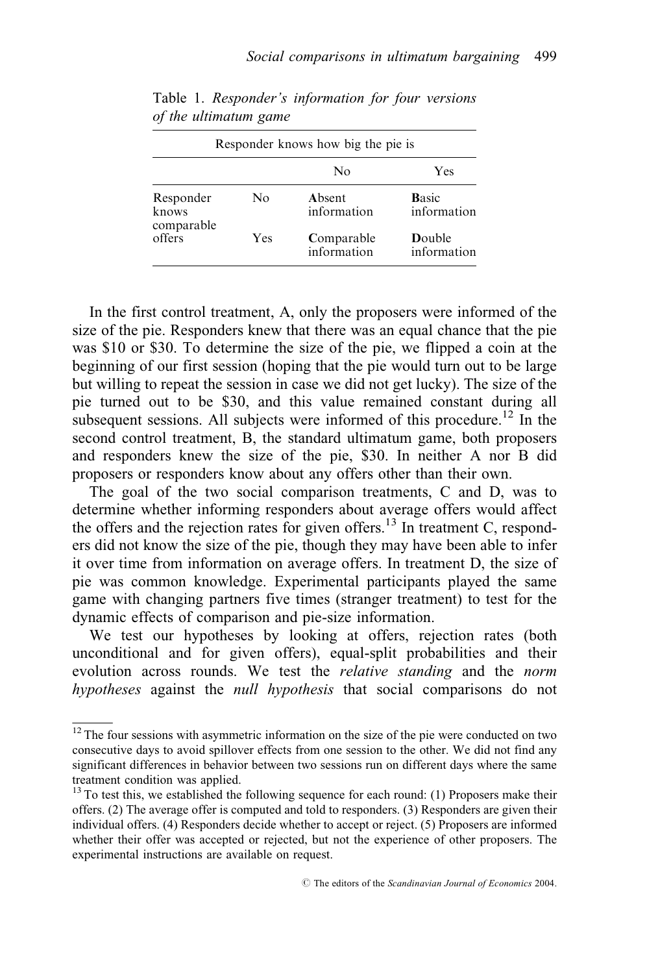|            | Responder knows how big the pie is |                |             |
|------------|------------------------------------|----------------|-------------|
|            |                                    | N <sub>0</sub> | Yes         |
| Responder  | No                                 | Absent         | Basic       |
| knows      |                                    | information    | information |
| comparable | Yes                                | Comparable     | Double      |
| offers     |                                    | information    | information |

Table 1. Responder's information for four versions of the ultimatum game

In the first control treatment, A, only the proposers were informed of the size of the pie. Responders knew that there was an equal chance that the pie was \$10 or \$30. To determine the size of the pie, we flipped a coin at the beginning of our first session (hoping that the pie would turn out to be large but willing to repeat the session in case we did not get lucky). The size of the pie turned out to be \$30, and this value remained constant during all subsequent sessions. All subjects were informed of this procedure.<sup>12</sup> In the second control treatment, B, the standard ultimatum game, both proposers and responders knew the size of the pie, \$30. In neither A nor B did proposers or responders know about any offers other than their own.

The goal of the two social comparison treatments, C and D, was to determine whether informing responders about average offers would affect the offers and the rejection rates for given offers.<sup>13</sup> In treatment C, responders did not know the size of the pie, though they may have been able to infer it over time from information on average offers. In treatment D, the size of pie was common knowledge. Experimental participants played the same game with changing partners five times (stranger treatment) to test for the dynamic effects of comparison and pie-size information.

We test our hypotheses by looking at offers, rejection rates (both unconditional and for given offers), equal-split probabilities and their evolution across rounds. We test the relative standing and the norm hypotheses against the null hypothesis that social comparisons do not

<sup>&</sup>lt;sup>12</sup> The four sessions with asymmetric information on the size of the pie were conducted on two consecutive days to avoid spillover effects from one session to the other. We did not find any significant differences in behavior between two sessions run on different days where the same treatment condition was applied.

 $13$  To test this, we established the following sequence for each round: (1) Proposers make their offers. (2) The average offer is computed and told to responders. (3) Responders are given their individual offers. (4) Responders decide whether to accept or reject. (5) Proposers are informed whether their offer was accepted or rejected, but not the experience of other proposers. The experimental instructions are available on request.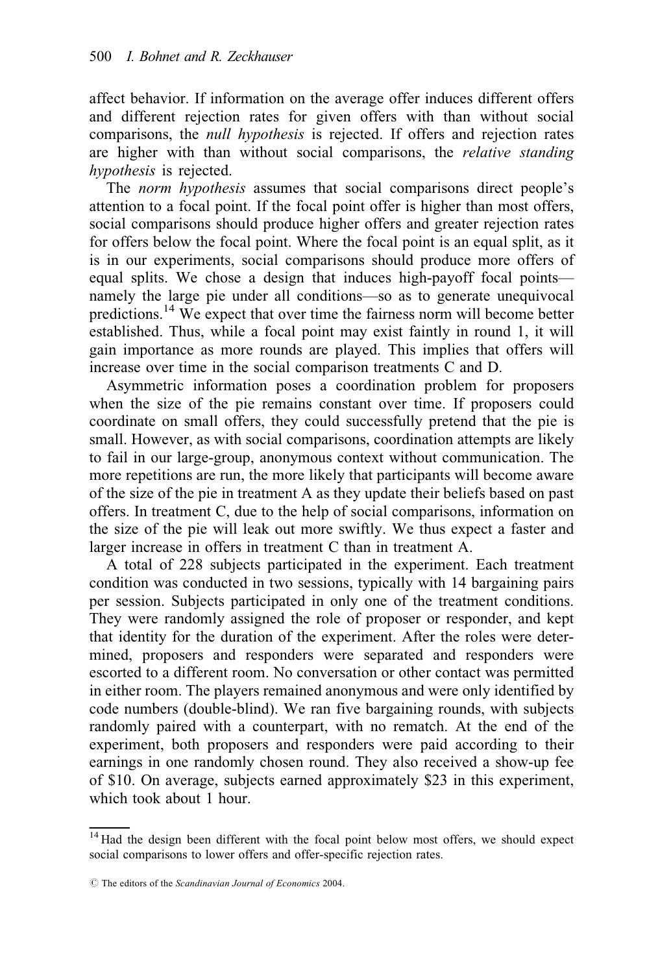affect behavior. If information on the average offer induces different offers and different rejection rates for given offers with than without social comparisons, the null hypothesis is rejected. If offers and rejection rates are higher with than without social comparisons, the relative standing hypothesis is rejected.

The *norm hypothesis* assumes that social comparisons direct people's attention to a focal point. If the focal point offer is higher than most offers, social comparisons should produce higher offers and greater rejection rates for offers below the focal point. Where the focal point is an equal split, as it is in our experiments, social comparisons should produce more offers of equal splits. We chose a design that induces high-payoff focal points namely the large pie under all conditions—so as to generate unequivocal predictions.<sup>14</sup> We expect that over time the fairness norm will become better established. Thus, while a focal point may exist faintly in round 1, it will gain importance as more rounds are played. This implies that offers will increase over time in the social comparison treatments C and D.

Asymmetric information poses a coordination problem for proposers when the size of the pie remains constant over time. If proposers could coordinate on small offers, they could successfully pretend that the pie is small. However, as with social comparisons, coordination attempts are likely to fail in our large-group, anonymous context without communication. The more repetitions are run, the more likely that participants will become aware of the size of the pie in treatment A as they update their beliefs based on past offers. In treatment C, due to the help of social comparisons, information on the size of the pie will leak out more swiftly. We thus expect a faster and larger increase in offers in treatment C than in treatment A.

A total of 228 subjects participated in the experiment. Each treatment condition was conducted in two sessions, typically with 14 bargaining pairs per session. Subjects participated in only one of the treatment conditions. They were randomly assigned the role of proposer or responder, and kept that identity for the duration of the experiment. After the roles were determined, proposers and responders were separated and responders were escorted to a different room. No conversation or other contact was permitted in either room. The players remained anonymous and were only identified by code numbers (double-blind). We ran five bargaining rounds, with subjects randomly paired with a counterpart, with no rematch. At the end of the experiment, both proposers and responders were paid according to their earnings in one randomly chosen round. They also received a show-up fee of \$10. On average, subjects earned approximately \$23 in this experiment, which took about 1 hour.

<sup>&</sup>lt;sup>14</sup> Had the design been different with the focal point below most offers, we should expect social comparisons to lower offers and offer-specific rejection rates.

 $\circ$  The editors of the Scandinavian Journal of Economics 2004.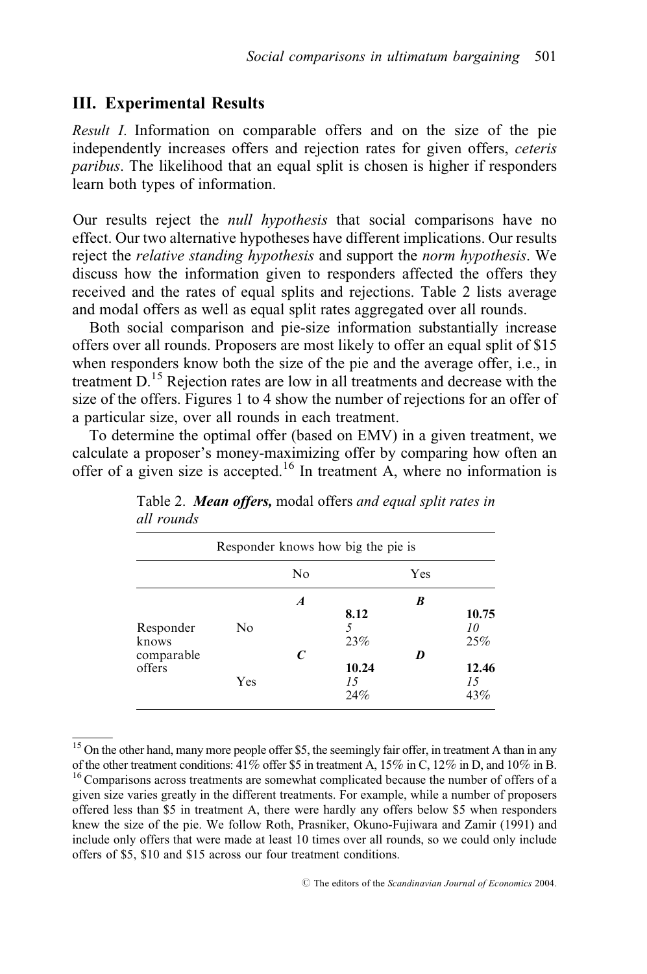# III. Experimental Results

Result I. Information on comparable offers and on the size of the pie independently increases offers and rejection rates for given offers, ceteris paribus. The likelihood that an equal split is chosen is higher if responders learn both types of information.

Our results reject the null hypothesis that social comparisons have no effect. Our two alternative hypotheses have different implications. Our results reject the relative standing hypothesis and support the norm hypothesis. We discuss how the information given to responders affected the offers they received and the rates of equal splits and rejections. Table 2 lists average and modal offers as well as equal split rates aggregated over all rounds.

Both social comparison and pie-size information substantially increase offers over all rounds. Proposers are most likely to offer an equal split of \$15 when responders know both the size of the pie and the average offer, i.e., in treatment D.<sup>15</sup> Rejection rates are low in all treatments and decrease with the size of the offers. Figures 1 to 4 show the number of rejections for an offer of a particular size, over all rounds in each treatment.

To determine the optimal offer (based on EMV) in a given treatment, we calculate a proposer's money-maximizing offer by comparing how often an offer of a given size is accepted.<sup>16</sup> In treatment A, where no information is

|                                            |     |                | Responder knows how big the pie is |        |                             |
|--------------------------------------------|-----|----------------|------------------------------------|--------|-----------------------------|
|                                            |     | N <sub>0</sub> |                                    | Yes    |                             |
| Responder<br>knows<br>comparable<br>offers | No  | A<br>C         | 8.12<br>5<br>23%<br>10.24          | B<br>D | 10.75<br>10<br>25%<br>12.46 |
|                                            | Yes |                | 15<br>24%                          |        | 1.5<br>43%                  |

Table 2. Mean offers, modal offers and equal split rates in all rounds

<sup>&</sup>lt;sup>15</sup> On the other hand, many more people offer \$5, the seemingly fair offer, in treatment A than in any of the other treatment conditions:  $41\%$  offer \$5 in treatment A, 15% in C, 12% in D, and 10% in B.  $16$  Comparisons across treatments are somewhat complicated because the number of offers of a given size varies greatly in the different treatments. For example, while a number of proposers offered less than \$5 in treatment A, there were hardly any offers below \$5 when responders knew the size of the pie. We follow Roth, Prasniker, Okuno-Fujiwara and Zamir (1991) and include only offers that were made at least 10 times over all rounds, so we could only include offers of \$5, \$10 and \$15 across our four treatment conditions.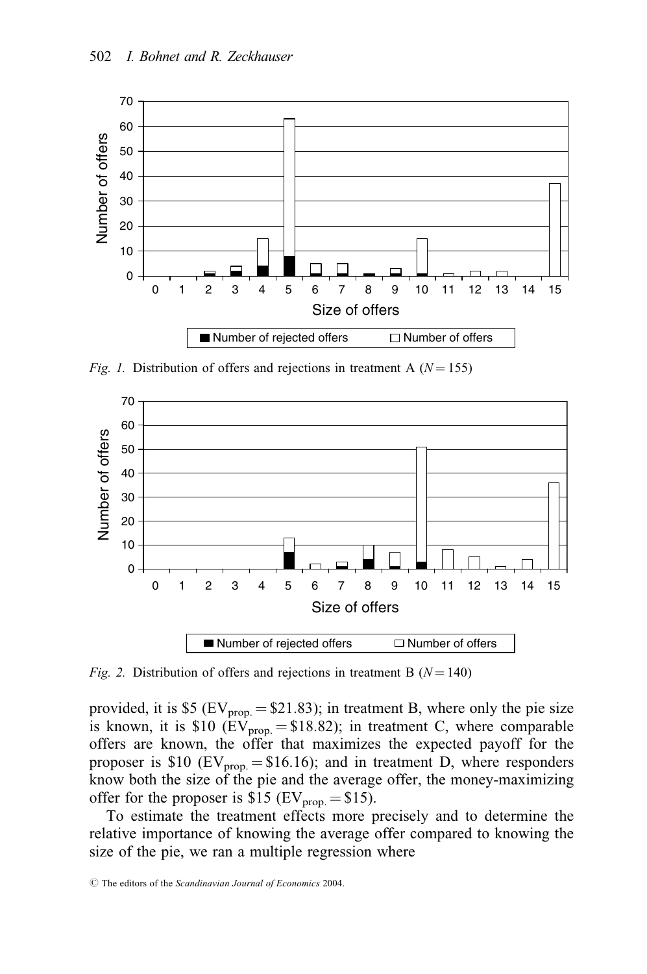

Fig. 1. Distribution of offers and rejections in treatment A  $(N = 155)$ 



Fig. 2. Distribution of offers and rejections in treatment B ( $N = 140$ )

provided, it is \$5 ( $EV_{\text{prop}} = $21.83$ ); in treatment B, where only the pie size is known, it is \$10 ( $\text{EV}_{\text{prop}} = $18.82$ ); in treatment C, where comparable offers are known, the offer that maximizes the expected payoff for the proposer is \$10 ( $EV_{\text{pron}} = $16.16$ ); and in treatment D, where responders know both the size of the pie and the average offer, the money-maximizing offer for the proposer is \$15 ( $EV_{\text{prop}} = $15$ ).

To estimate the treatment effects more precisely and to determine the relative importance of knowing the average offer compared to knowing the size of the pie, we ran a multiple regression where

 $\circ$  The editors of the Scandinavian Journal of Economics 2004.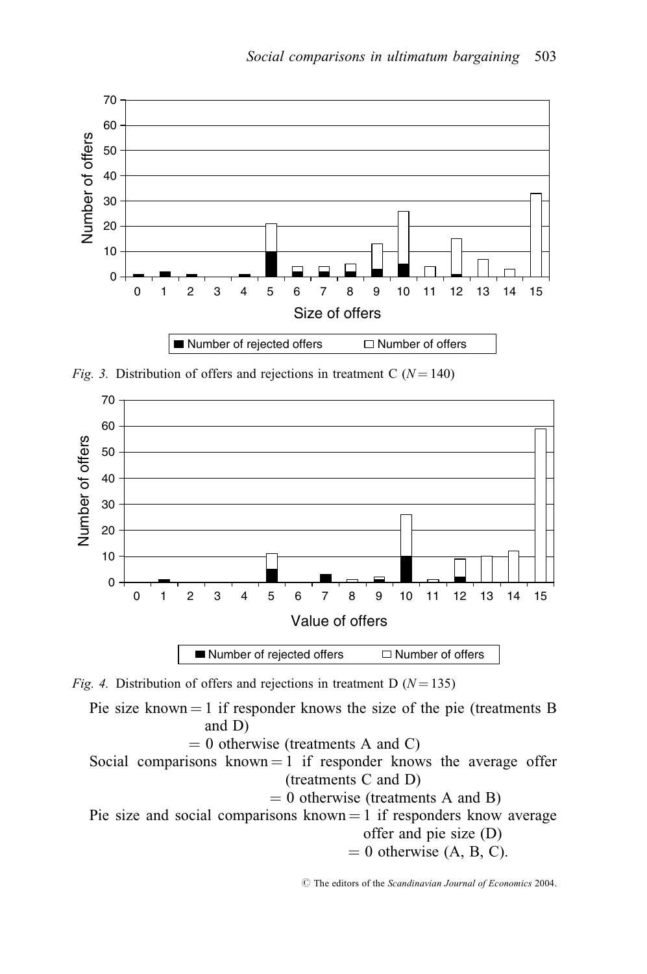

Fig. 3. Distribution of offers and rejections in treatment C ( $N = 140$ )



Fig. 4. Distribution of offers and rejections in treatment D ( $N = 135$ )

Pie size known  $= 1$  if responder knows the size of the pie (treatments B and D)

 $= 0$  otherwise (treatments A and C)

Social comparisons known  $= 1$  if responder knows the average offer (treatments C and D)

 $= 0$  otherwise (treatments A and B)

Pie size and social comparisons known  $= 1$  if responders know average

offer and pie size (D)

 $= 0$  otherwise (A, B, C).

 $\circ$  The editors of the Scandinavian Journal of Economics 2004.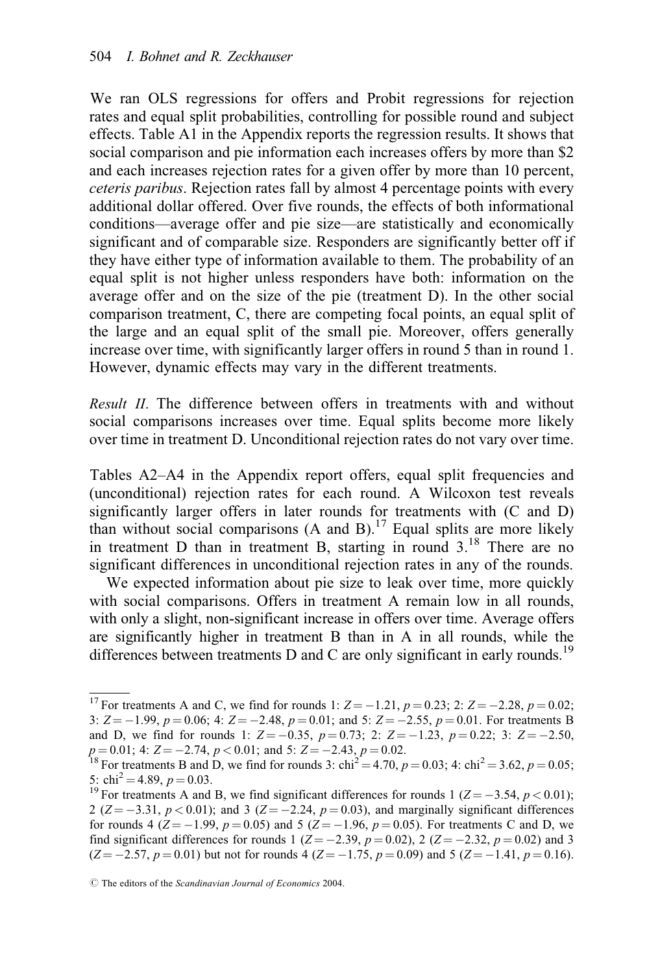We ran OLS regressions for offers and Probit regressions for rejection rates and equal split probabilities, controlling for possible round and subject effects. Table A1 in the Appendix reports the regression results. It shows that social comparison and pie information each increases offers by more than \$2 and each increases rejection rates for a given offer by more than 10 percent, ceteris paribus. Rejection rates fall by almost 4 percentage points with every additional dollar offered. Over five rounds, the effects of both informational conditions—average offer and pie size—are statistically and economically significant and of comparable size. Responders are significantly better off if they have either type of information available to them. The probability of an equal split is not higher unless responders have both: information on the average offer and on the size of the pie (treatment D). In the other social comparison treatment, C, there are competing focal points, an equal split of the large and an equal split of the small pie. Moreover, offers generally increase over time, with significantly larger offers in round 5 than in round 1. However, dynamic effects may vary in the different treatments.

Result II. The difference between offers in treatments with and without social comparisons increases over time. Equal splits become more likely over time in treatment D. Unconditional rejection rates do not vary over time.

Tables A2–A4 in the Appendix report offers, equal split frequencies and (unconditional) rejection rates for each round. A Wilcoxon test reveals significantly larger offers in later rounds for treatments with (C and D) than without social comparisons  $(A \text{ and } B)$ .<sup>17</sup> Equal splits are more likely in treatment D than in treatment B, starting in round 3.18 There are no significant differences in unconditional rejection rates in any of the rounds.

We expected information about pie size to leak over time, more quickly with social comparisons. Offers in treatment A remain low in all rounds, with only a slight, non-significant increase in offers over time. Average offers are significantly higher in treatment B than in A in all rounds, while the differences between treatments  $D$  and  $C$  are only significant in early rounds.<sup>19</sup>

<sup>&</sup>lt;sup>17</sup> For treatments A and C, we find for rounds 1:  $Z = -1.21$ ,  $p = 0.23$ ; 2:  $Z = -2.28$ ,  $p = 0.02$ ; 3:  $Z = -1.99$ ,  $p = 0.06$ ; 4:  $Z = -2.48$ ,  $p = 0.01$ ; and 5:  $Z = -2.55$ ,  $p = 0.01$ . For treatments B and D, we find for rounds 1:  $Z = -0.35$ ,  $p = 0.73$ ; 2:  $Z = -1.23$ ,  $p = 0.22$ ; 3:  $Z = -2.50$ ,  $p = 0.01; 4: Z = -2.74, p < 0.01;$  and 5: Z = -

<sup>&</sup>lt;sup>18</sup> For treatments B and D, we find for rounds 3:  $\text{chi}^2 = 4.70$ ,  $p = 0.03$ ; 4:  $\text{chi}^2 = 3.62$ ,  $p = 0.05$ ; 5: chi<sup>2</sup> = 4.89,  $p = 0.03$ .<br><sup>19</sup> For treatments A and B, we find significant differences for rounds 1 (Z = -3.54,  $p < 0.01$ );

<sup>2 (</sup> $Z = -3.31$ ,  $p < 0.01$ ); and 3 ( $Z = -2.24$ ,  $p = 0.03$ ), and marginally significant differences for rounds 4 ( $Z = -1.99$ ,  $p = 0.05$ ) and 5 ( $Z = -1.96$ ,  $p = 0.05$ ). For treatments C and D, we find significant differences for rounds  $1 (Z = -2.39, p = 0.02), 2 (Z = -2.32, p = 0.02)$  and 3  $(Z = -2.57, p = 0.01)$  but not for rounds  $4 (Z = -1.75, p = 0.09)$  and  $5 (Z = -1.41, p = 0.16)$ .

 $\circ$  The editors of the Scandinavian Journal of Economics 2004.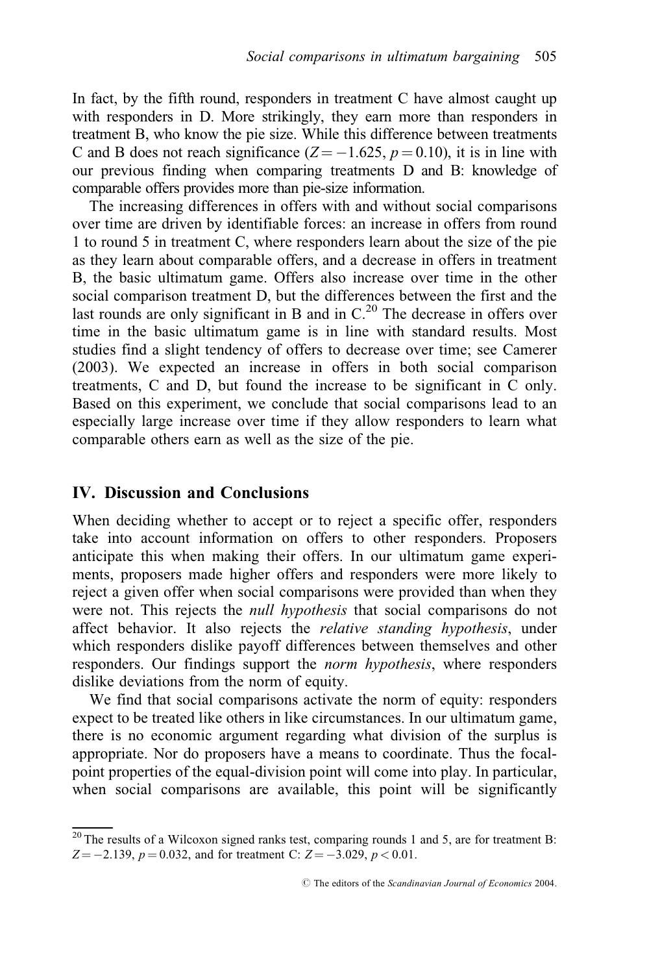In fact, by the fifth round, responders in treatment C have almost caught up with responders in D. More strikingly, they earn more than responders in treatment B, who know the pie size. While this difference between treatments C and B does not reach significance  $(Z = -1.625, p = 0.10)$ , it is in line with our previous finding when comparing treatments D and B: knowledge of comparable offers provides more than pie-size information.

The increasing differences in offers with and without social comparisons over time are driven by identifiable forces: an increase in offers from round 1 to round 5 in treatment C, where responders learn about the size of the pie as they learn about comparable offers, and a decrease in offers in treatment B, the basic ultimatum game. Offers also increase over time in the other social comparison treatment D, but the differences between the first and the last rounds are only significant in B and in  $C<sup>20</sup>$  The decrease in offers over time in the basic ultimatum game is in line with standard results. Most studies find a slight tendency of offers to decrease over time; see Camerer (2003). We expected an increase in offers in both social comparison treatments, C and D, but found the increase to be significant in C only. Based on this experiment, we conclude that social comparisons lead to an especially large increase over time if they allow responders to learn what comparable others earn as well as the size of the pie.

#### IV. Discussion and Conclusions

When deciding whether to accept or to reject a specific offer, responders take into account information on offers to other responders. Proposers anticipate this when making their offers. In our ultimatum game experiments, proposers made higher offers and responders were more likely to reject a given offer when social comparisons were provided than when they were not. This rejects the null hypothesis that social comparisons do not affect behavior. It also rejects the relative standing hypothesis, under which responders dislike payoff differences between themselves and other responders. Our findings support the norm hypothesis, where responders dislike deviations from the norm of equity.

We find that social comparisons activate the norm of equity: responders expect to be treated like others in like circumstances. In our ultimatum game, there is no economic argument regarding what division of the surplus is appropriate. Nor do proposers have a means to coordinate. Thus the focalpoint properties of the equal-division point will come into play. In particular, when social comparisons are available, this point will be significantly

 $20$  The results of a Wilcoxon signed ranks test, comparing rounds 1 and 5, are for treatment B:  $Z = -2.139$ ,  $p = 0.032$ , and for treatment C:  $Z = -3.029$ ,  $p < 0.01$ .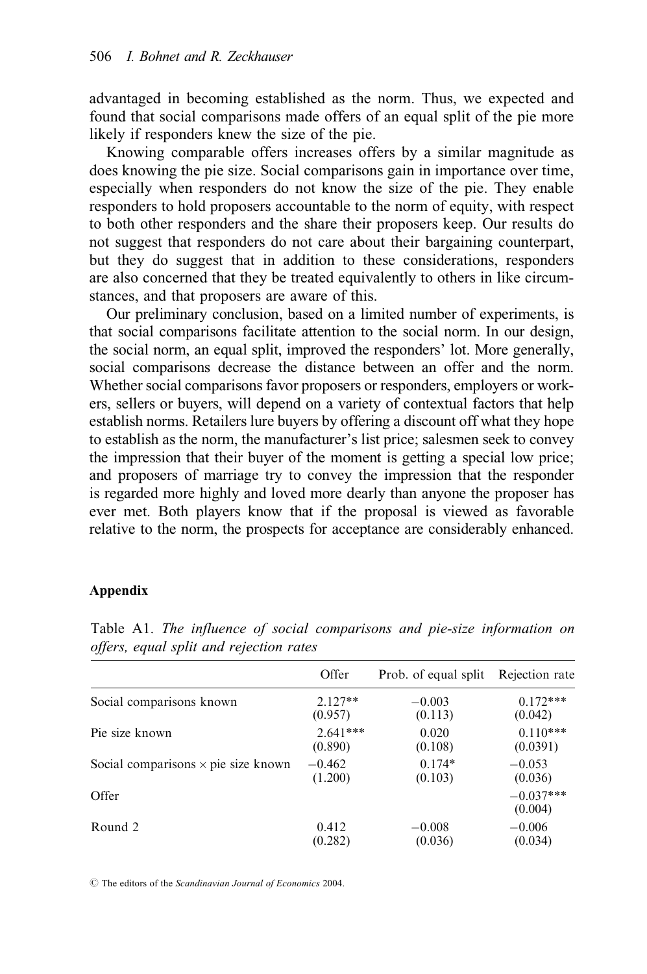advantaged in becoming established as the norm. Thus, we expected and found that social comparisons made offers of an equal split of the pie more likely if responders knew the size of the pie.

Knowing comparable offers increases offers by a similar magnitude as does knowing the pie size. Social comparisons gain in importance over time, especially when responders do not know the size of the pie. They enable responders to hold proposers accountable to the norm of equity, with respect to both other responders and the share their proposers keep. Our results do not suggest that responders do not care about their bargaining counterpart, but they do suggest that in addition to these considerations, responders are also concerned that they be treated equivalently to others in like circumstances, and that proposers are aware of this.

Our preliminary conclusion, based on a limited number of experiments, is that social comparisons facilitate attention to the social norm. In our design, the social norm, an equal split, improved the responders' lot. More generally, social comparisons decrease the distance between an offer and the norm. Whether social comparisons favor proposers or responders, employers or workers, sellers or buyers, will depend on a variety of contextual factors that help establish norms. Retailers lure buyers by offering a discount off what they hope to establish as the norm, the manufacturer's list price; salesmen seek to convey the impression that their buyer of the moment is getting a special low price; and proposers of marriage try to convey the impression that the responder is regarded more highly and loved more dearly than anyone the proposer has ever met. Both players know that if the proposal is viewed as favorable relative to the norm, the prospects for acceptance are considerably enhanced.

#### Appendix

|                                            | Offer      | Prob. of equal split | Rejection rate         |
|--------------------------------------------|------------|----------------------|------------------------|
| Social comparisons known                   | $2.127**$  | $-0.003$             | $0.172***$             |
|                                            | (0.957)    | (0.113)              | (0.042)                |
| Pie size known                             | $2.641***$ | 0.020                | $0.110***$             |
|                                            | (0.890)    | (0.108)              | (0.0391)               |
| Social comparisons $\times$ pie size known | $-0.462$   | $0.174*$             | $-0.053$               |
|                                            | (1.200)    | (0.103)              | (0.036)                |
| Offer                                      |            |                      | $-0.037***$<br>(0.004) |
| Round 2                                    | 0.412      | $-0.008$             | $-0.006$               |
|                                            | (0.282)    | (0.036)              | (0.034)                |

Table A1. The influence of social comparisons and pie-size information on offers, equal split and rejection rates

 $\circled{c}$  The editors of the Scandinavian Journal of Economics 2004.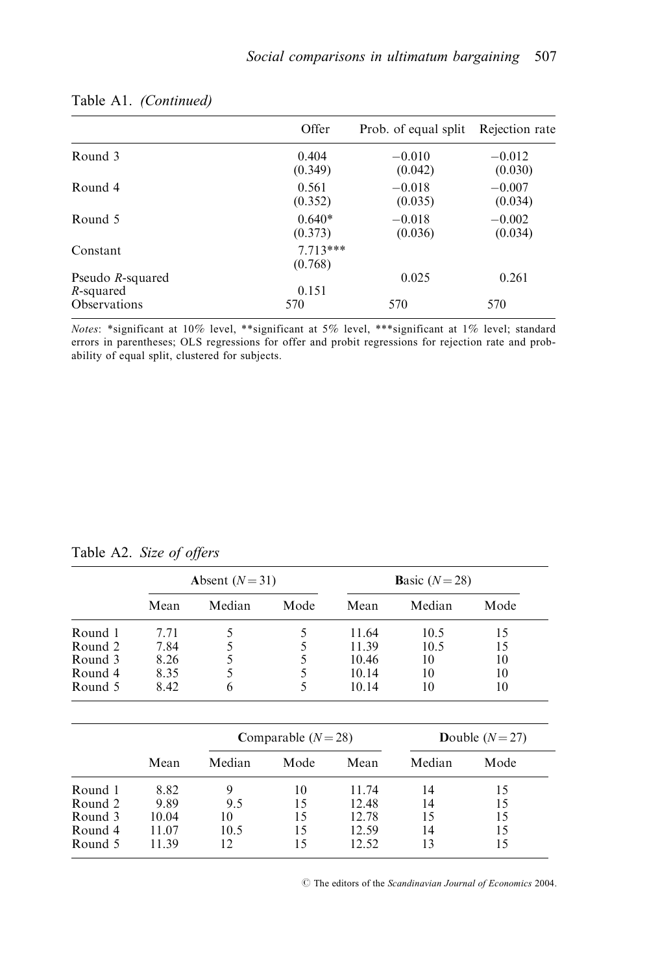|                                  | Offer                 | Prob. of equal split | Rejection rate      |
|----------------------------------|-----------------------|----------------------|---------------------|
| Round 3                          | 0.404<br>(0.349)      | $-0.010$<br>(0.042)  | $-0.012$<br>(0.030) |
| Round 4                          | 0.561<br>(0.352)      | $-0.018$<br>(0.035)  | $-0.007$<br>(0.034) |
| Round 5                          | $0.640*$<br>(0.373)   | $-0.018$<br>(0.036)  | $-0.002$<br>(0.034) |
| Constant                         | $7.713***$<br>(0.768) |                      |                     |
| Pseudo $R$ -squared<br>R-squared | 0.151                 | 0.025                | 0.261               |
| <b>Observations</b>              | 570                   | 570                  | 570                 |

|  | Table A1. (Continued) |
|--|-----------------------|
|--|-----------------------|

Notes: \*significant at 10% level, \*\*significant at 5% level, \*\*\*significant at 1% level; standard errors in parentheses; OLS regressions for offer and probit regressions for rejection rate and probability of equal split, clustered for subjects.

Table A2. Size of offers

|         | Absent $(N=31)$ |        | <b>Basic</b> $(N=28)$ |       |        |                 |
|---------|-----------------|--------|-----------------------|-------|--------|-----------------|
|         | Mean            | Median | Mode                  | Mean  | Median | Mode            |
| Round 1 | 7.71            | 5      | 5                     | 11.64 | 10.5   | 15              |
| Round 2 | 7.84            | 5      |                       | 11.39 | 10.5   | 15              |
| Round 3 | 8.26            | 5      | 5<br>5                | 10.46 | 10     | 10              |
| Round 4 | 8.35            | 5      | 5                     | 10.14 | 10     | 10              |
| Round 5 | 8.42            | 6      | 5                     | 10.14 | 10     | 10              |
|         |                 |        |                       |       |        |                 |
|         |                 |        | Comparable $(N=28)$   |       |        | Double $(N=27)$ |
|         | Mean            | Median | Mode                  | Mean  | Median | Mode            |
| Round 1 | 8.82            | 9      | 10                    | 11.74 | 14     | 15              |
| Round 2 | 9.89            | 9.5    | 15                    | 12.48 | 14     | 15              |
| Round 3 | 10.04           | 10     | 15                    | 12.78 | 15     | 15              |
| Round 4 | 11.07           | 10.5   | 15                    | 12.59 | 14     | 15              |
| Round 5 | 11.39           | 12     | 15                    | 12.52 | 13     | 15              |

 $\odot$  The editors of the Scandinavian Journal of Economics 2004.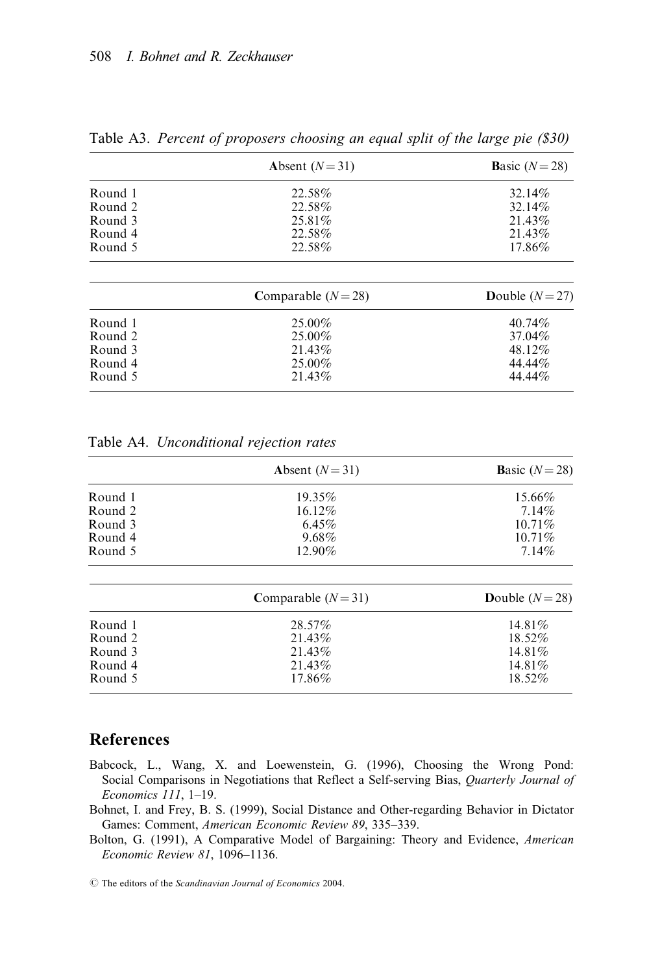|         | Absent $(N=31)$     | <b>Basic</b> $(N=28)$ |
|---------|---------------------|-----------------------|
| Round 1 | 22.58%              | 32.14%                |
| Round 2 | 22.58%              | 32.14%                |
| Round 3 | 25.81%              | 21.43%                |
| Round 4 | 22.58%              | 21.43%                |
| Round 5 | 22.58%              | 17.86%                |
|         | Comparable $(N=28)$ | Double $(N=27)$       |
|         |                     |                       |
| Round 1 | $25.00\%$           | $40.74\%$             |
| Round 2 | 25.00%              | 37.04%                |
| Round 3 | 21.43%              | 48.12%                |
| Round 4 | 25.00%              | 44.44%                |
| Round 5 | 21.43%              | 44.44%                |

Table A3. Percent of proposers choosing an equal split of the large pie (\$30)

Table A4. Unconditional rejection rates

|         | Absent $(N=31)$     | <b>Basic</b> $(N=28)$ |
|---------|---------------------|-----------------------|
| Round 1 | 19.35%              | 15.66%                |
| Round 2 | 16.12%              | 7.14%                 |
| Round 3 | $6.45\%$            | 10.71%                |
| Round 4 | $9.68\%$            | 10.71%                |
| Round 5 | 12.90%              | 7.14%                 |
|         |                     |                       |
|         | Comparable $(N=31)$ | Double $(N=28)$       |

| Round 1 | 28.57%    | 14.81\% |
|---------|-----------|---------|
| Round 2 | $21.43\%$ | 18.52%  |
| Round 3 | $21.43\%$ | 14.81%  |
| Round 4 | 21.43%    | 14.81%  |
| Round 5 | 17.86%    | 18.52%  |

#### References

- Babcock, L., Wang, X. and Loewenstein, G. (1996), Choosing the Wrong Pond: Social Comparisons in Negotiations that Reflect a Self-serving Bias, Quarterly Journal of Economics 111, 1–19.
- Bohnet, I. and Frey, B. S. (1999), Social Distance and Other-regarding Behavior in Dictator Games: Comment, American Economic Review 89, 335–339.
- Bolton, G. (1991), A Comparative Model of Bargaining: Theory and Evidence, American Economic Review 81, 1096–1136.

 $\odot$  The editors of the Scandinavian Journal of Economics 2004.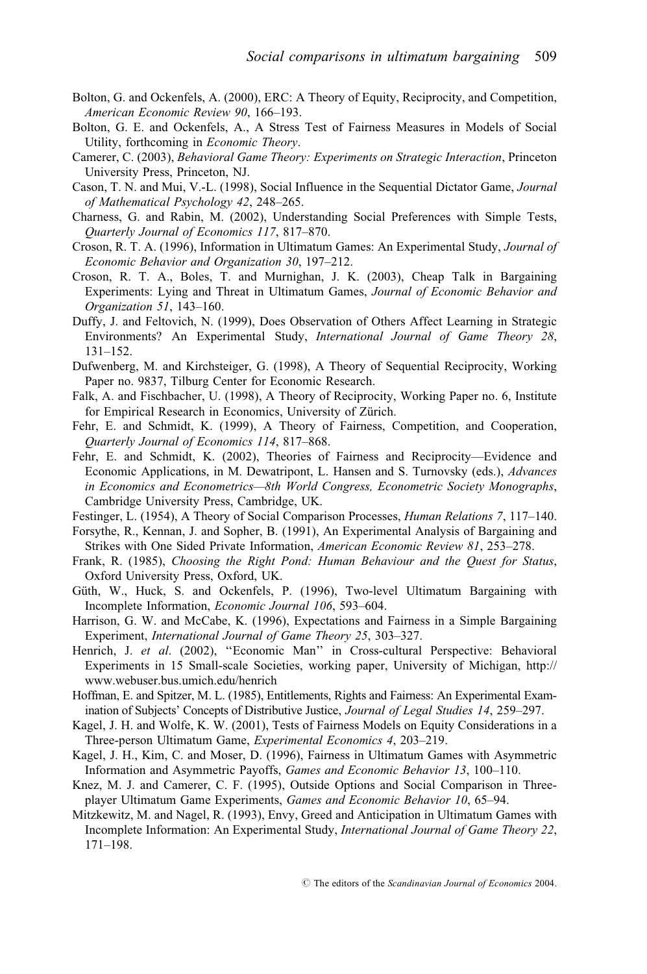- Bolton, G. and Ockenfels, A. (2000), ERC: A Theory of Equity, Reciprocity, and Competition, American Economic Review 90, 166–193.
- Bolton, G. E. and Ockenfels, A., A Stress Test of Fairness Measures in Models of Social Utility, forthcoming in Economic Theory.
- Camerer, C. (2003), Behavioral Game Theory: Experiments on Strategic Interaction, Princeton University Press, Princeton, NJ.
- Cason, T. N. and Mui, V.-L. (1998), Social Influence in the Sequential Dictator Game, Journal of Mathematical Psychology 42, 248–265.
- Charness, G. and Rabin, M. (2002), Understanding Social Preferences with Simple Tests, Quarterly Journal of Economics 117, 817–870.
- Croson, R. T. A. (1996), Information in Ultimatum Games: An Experimental Study, Journal of Economic Behavior and Organization 30, 197–212.
- Croson, R. T. A., Boles, T. and Murnighan, J. K. (2003), Cheap Talk in Bargaining Experiments: Lying and Threat in Ultimatum Games, Journal of Economic Behavior and Organization 51, 143–160.
- Duffy, J. and Feltovich, N. (1999), Does Observation of Others Affect Learning in Strategic Environments? An Experimental Study, International Journal of Game Theory 28, 131–152.
- Dufwenberg, M. and Kirchsteiger, G. (1998), A Theory of Sequential Reciprocity, Working Paper no. 9837, Tilburg Center for Economic Research.
- Falk, A. and Fischbacher, U. (1998), A Theory of Reciprocity, Working Paper no. 6, Institute for Empirical Research in Economics, University of Zürich.
- Fehr, E. and Schmidt, K. (1999), A Theory of Fairness, Competition, and Cooperation, Quarterly Journal of Economics 114, 817–868.
- Fehr, E. and Schmidt, K. (2002), Theories of Fairness and Reciprocity—Evidence and Economic Applications, in M. Dewatripont, L. Hansen and S. Turnovsky (eds.), Advances in Economics and Econometrics—8th World Congress, Econometric Society Monographs, Cambridge University Press, Cambridge, UK.
- Festinger, L. (1954), A Theory of Social Comparison Processes, Human Relations 7, 117–140.
- Forsythe, R., Kennan, J. and Sopher, B. (1991), An Experimental Analysis of Bargaining and Strikes with One Sided Private Information, American Economic Review 81, 253–278.
- Frank, R. (1985), Choosing the Right Pond: Human Behaviour and the Quest for Status, Oxford University Press, Oxford, UK.
- Güth, W., Huck, S. and Ockenfels, P. (1996), Two-level Ultimatum Bargaining with Incomplete Information, Economic Journal 106, 593–604.
- Harrison, G. W. and McCabe, K. (1996), Expectations and Fairness in a Simple Bargaining Experiment, International Journal of Game Theory 25, 303–327.
- Henrich, J. et al. (2002), ''Economic Man'' in Cross-cultural Perspective: Behavioral Experiments in 15 Small-scale Societies, working paper, University of Michigan, http:// www.webuser.bus.umich.edu/henrich
- Hoffman, E. and Spitzer, M. L. (1985), Entitlements, Rights and Fairness: An Experimental Examination of Subjects' Concepts of Distributive Justice, Journal of Legal Studies 14, 259–297.
- Kagel, J. H. and Wolfe, K. W. (2001), Tests of Fairness Models on Equity Considerations in a Three-person Ultimatum Game, Experimental Economics 4, 203–219.
- Kagel, J. H., Kim, C. and Moser, D. (1996), Fairness in Ultimatum Games with Asymmetric Information and Asymmetric Payoffs, Games and Economic Behavior 13, 100–110.
- Knez, M. J. and Camerer, C. F. (1995), Outside Options and Social Comparison in Threeplayer Ultimatum Game Experiments, Games and Economic Behavior 10, 65–94.
- Mitzkewitz, M. and Nagel, R. (1993), Envy, Greed and Anticipation in Ultimatum Games with Incomplete Information: An Experimental Study, International Journal of Game Theory 22, 171–198.